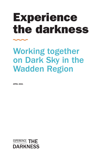# Experience the darkness

## Working together on Dark Sky in the Wadden Region

APRIL 2021

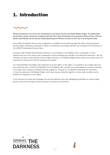### 1. Introduction



Nocturnal darkness is one of the core characteristics in the Dutch, German and Danish Wadden Region. The Netherlands has therefore already created two recognised Dark Sky Parks (East Terschelling and Lauwersmeer National Park), while the Danish island Mandø and the German islands Spiekeroog and Pellworm are also on their way to achieving this status.

Since 2009, the Wadden Sea has been designated as a UNESCO natural World Heritage Site where natural processes proceed largely undisturbed. Especially in relation to biodiversity and ecology, darkness can contribute to the Protection of the UNESCO Outstanding Universal Value.

During the 13th Trilateral Governmental Conference on the Protection of the Wadden Sea in Leeuwarden in 2018, darkness was one of the issues under consideration and the following was recorded in the Ministerial Statement: "We, the ministers, are aware of the potential impact of light emissions on the Wadden Region and its unique core quality, and of the importance of darkness for both the ecosystem and people."

The trilateral Wadden Sea Region still experiences truly dark nights. In this region it is possible to see a bright starry sky and sometimes even to admire the Milky Way. The three Wadden Sea countries are working together to preserve darkness in the region and to develop a trilateral Dark Sky programme. The goal is to consistently emphasise the importance of nocturnal darkness in the Wadden Region and to take physical measures together to reduce light emissions and to facilitate the experience of dark nights.

In this document we share the knowledge that we hold trilaterally, while also highlighting possibilities for various target groups to take action through concrete measures to enhance the experience.

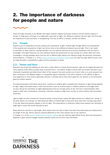### 2. The importance of darkness for people and nature

There are huge contrasts In the Wadden Sea region between brightly illuminated harbours and the darkest regions in Europe. In large parts of Europe it no longer gets really dark at night. The difference between day and night, and thus also the experience of dusk and dawn, is disappearing. This has an effect on people, animals and plants.

### 2.1. People

aspects such as temperature and the quantity and composition of light. Artificial light strongly affects the predictability of the quantity and composition of light, and hence there is less difference between day and night. This in turn leads to disruption of sleep rhythms, causing disorders such as reduced alertness and memory, depression and can lead to overweight. Thus light influences not only individual health and productivity, but also society as a whole. More and more knowledge is coming available about how the use of different light spectra can influence things like alertness, perception and biorhythms. In Chapter 1.1. of the [Austrian Guidelines for Outdoor Lighting](https://www.land-oberoesterreich.gv.at/files/publikationen/us_Leitfaden_Guidelines_Outdoor_lighting_english.pdf?fbclid=IwAR2C-aSnzE3YwKTZsOLkUqh-YI0eQXnb9qExnfXTYVCW8-Uo_tp0T398Gug) you can read how light affects issues such as sleep disorders, susceptibility to glare and the perception of safety.

### 2.2. Fauna and flora

Research has shown that lighting can also have a major effect on various animal species. Light can be hugely disruptive for some species, while others actually seem to benefit from it. The effects of light on birds, bats and insects has been most intensively researched and determined. Much of this research has been carried out on land. Little or no such research has been conducted in the Wadden Region or comparable regions elsewhere in the world, however, so the effects of light on local organisms in such areas is generally unknown. It already seems that what is good for one species is not necessarily good for another species.

The best-documented information about birds' reactions to artificial light is probably their attraction to light during migration at night. Highly illuminated areas in dark environments, such as onshore plants or offshore platforms and larger cities on land, disrupt the orientation of night-migrating birds that are normally active at day. This form of disorientation often leads to death due to exhaustion, caused by a dramatic increase in flight time, but also to direct collision with illuminated structures.

Light at night can also increase the nocturnal activity of birds living in areas with light pollution as it affects the 'timing' of the daily activity. For example, an often-observed effect of artificial light is that some birds start their morning song earlier in the day. Many bird species migrate or hunt at night. This dependence on darkness makes these species very sensitive to bright light in areas that would naturally be dark.

Many plants are sensitive to day length: when plants come into leaf or flower and when they shed leaves are influenced by the length of the day. Various species respond differently to this: each species has its own optimum. In Chapter 1.2. of the [Austrian Guidelines for Outdoor Lighting](https://www.land-oberoesterreich.gv.at/files/publikationen/us_Leitfaden_Guidelines_Outdoor_lighting_english.pdf?fbclid=IwAR2C-aSnzE3YwKTZsOLkUqh-YI0eQXnb9qExnfXTYVCW8-Uo_tp0T398Gug) you can read how light affects fauna, flora and ecosystems. Appendix 2 gives several linkages towards websites where you can find more information.



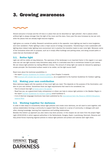### 3. Growing awareness

Almost everyone in Europe and the US lives in a place that can be described as 'light polluted', that is places where artificial light is always stronger than the light of the moon and the stars. Every year this area increases by two per cent, while the places that are already bright become brighter.

Light gives us a sense of safety. Research sometimes points to the opposite: more lighting can lead to more burglaries and more vandalism. Public lighting is also a major source of energy consumption. Transitioning to more sustainable LED lighting does indeed make lighting more economical, but in practice this transition leads to even more light. Moreover, some of the luminaires shine with no purpose, such as in empty office buildings and parking areas, and along unused paths or roads that are illuminated all night.

### 3.1. Better light

Light can still be visible at long distances. The openness of the landscape is an important factor in this regard: in an open area one can see light sources many kilometres away, while in a secluded area this is sometimes limited to just metres. We can reduce light pollution by making different choices. The amount of (stray) light can easily be reduced by applying a simple principle: the illuminated surface needs to be visible, not the light source itself!

Read more about the technical possibilities in:

- the report [Austrian Guidelines for Outdoor Lighting](https://www.land-oberoesterreich.gv.at/files/publikationen/us_Leitfaden_Guidelines_Outdoor_lighting_english.pdf?fbclid=IwAR2C-aSnzE3YwKTZsOLkUqh-YI0eQXnb9qExnfXTYVCW8-Uo_tp0T398Gug) from Chapter 3 onwards
- this [brochure w](https://www.land-oberoesterreich.gv.at/files/publikationen/us_better_light_english.pdf)ith simple tips and recommendations, as a supplement to the Austrian Guidelines for Outdoor Lighting.

### 3.2. Making your own contribution

More darkness begins with the question of how much light you need. This depends on the purpose of the illumination, and also on your own wishes. Sometimes there are legal requirements that need to be considered, too.

- How to ensure less light a[t home and in the g](https://idsw.darksky.org/activities/dark-sky-friendly-home/)arden
- Read how you, as a government body, entrepreneur or citizen can help to reduce light pollution in the Wadden Region in the report [Austrian Guidelines for Outdoor Lighting](https://www.land-oberoesterreich.gv.at/files/publikationen/us_Leitfaden_Guidelines_Outdoor_lighting_english.pdf?fbclid=IwAR2C-aSnzE3YwKTZsOLkUqh-YI0eQXnb9qExnfXTYVCW8-Uo_tp0T398Gug) vanaf hoofdstuk 5.
- A lot of (German language) brochures have been published by the [International Dark Sky Reserve UNESCO Biosphere](https://www.biosphaerenreservat-rhoen.de/natur/sternenpark-rhoen/umweltvertraegliche-beleuchtung/)  [reserve Rhön](https://www.biosphaerenreservat-rhoen.de/natur/sternenpark-rhoen/umweltvertraegliche-beleuchtung/)

### 3.3. Working together for darkness

In order to take steps to consistently reduce light pollution and create more darkness, we will need to work together, with various stakeholders forming a community to support Dark Sky, based on a sense of community, in dialogue with each other, sharing knowledge, learning from experience and building relationships.

Besides this bottom up approach you also need a top down process. In this respect we can learn from the project Night Light (2016-2019) in which regional authorities in the Netherlands, Hungary, Spain, Luxembourg, Denmark, Slovenia and Italy joined forces improving regional policies to reduce light pollution and protect and valorise dark night skies.

4

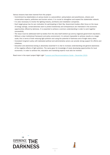Various lessons have been learned from this project:

- Commitment by stakeholders at various levels is a precondition: policymakers and practitioners, citizens and conservation experts, politicians and tourism actors. It is crucial to strengthen and expand the stakeholder network.
- It is also necessary to involve the lighting industry, architects and installation companies.
- Each target group has its own motivation for participating in Dark Sky. Government bodies often focus on the issue of energy savings, conservationists want to protect biodiversity and entrepreneurs are interested in the economic opportunities offered by darkness. It is essential to achieve a common understanding in order to work together successfully.
- The issue must be addressed both by bodies from the area itself (bottom-up) and by (regional) government (top-down).
- Without a clear institutional framework and policy environment, it is almost impossible to achieve results on a larger scale; this in terms of both reducing light pollution and using the potential of darkness and of bright starry skies.
- Consistent long-term policy with dedicated political and administrative actors can provide strong support for efforts and initiatives.
- Education and awareness-raising is absolutely essential! It is vital to increase understanding and general awareness of the negative effects of light pollution. The same goes for knowledge of newly developing opportunities for local economies. In order to achieve this, education and marketing experts must also be involved.

Read more in the report project Night Light "Lessons and Recommendations Guide - December 2019.

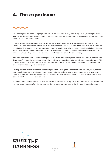### 4. The experience

On a clear night in the Wadden Region you can see around 3500 stars. Seeing a starry sky like this, including the Milky Way, is a special experience for many people. It can even be a life-changing experience for children who live in places where almost no stars can be seen at night.

Enabling people to experience darkness and a bright starry sky induces a sense of wonder among both residents and visitors. This promotes involvement and also raises awareness about the need to protect this core value and to contribute to its further development. Hence experience and a sense of wonder are crucial for strengthening Dark Sky in the Wadden Region. Experiencing darkness and a bright starry sky creates opportunities for new sustainable tourism products. This provides a unique selling point and can contribute to further development of the local economy.

The weather forecasts have no timetable or agenda. It is almost impossible to predict when a clear starry sky can be seen. The phase of the moon is relevant and predictable, but clouds and precipitation strongly influence the experience, too. This makes it difficult to schedule public activities. Communicating dates at the last moment is one option for preventing the experience from becoming a disappointment.

Relating public activities to all aspects of the night presents a better option. Besides darkness and starry skies, one can also hear night sounds, smell different things than during the day and also experience that once your eyes have become used to the dark, you can actually see quite a lot. So each night experience is different, but this is exactly what creates a sense of wonder and hence also awareness.

Read more about this in Appendix 1, in which we provide practical advice for organising a darkness event. This section also includes recommendations from the Night Light project for promoting experience of the dark and strengthening tourism.

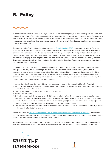### 5. Policy



It is harder to achieve more darkness in a region than it is to increase the lighting in an area. Although we know more and more about the impact of light pollution worldwide, it still remains difficult to actually create more darkness. This requires a joint approach in which individual citizens, as well as entrepreneurs and businesses, authorities, site managers, the lighting industry and communication and consultancy agencies can all make a contribution. Besides experience and awareness, this also requires good policy.

One good example of policy is the new enforcement to the [G](https://www.darksky.org/france-light-pollution-law-2018/)renelle law from 2013 which came into force in France on 1 January 2019, designed to prevent further light pollution This was prompted by campaigns conducted by three French environmental organisations. The Decree establishes technical requirements for the design and operation of outdoor lighting installations and imposes these regulations on both public and private property owners. It contains a number of prescriptions that apply to various lighting situations, from parks and gardens to building exteriors and parking facilities. The second part specifies eleven sites of astronomical observatories throughout France that receive special consideration for the highest level of protection.

Importantly, the Decree fully sets forth, for the first time, a clear intent in establishing meaningful national regulations "designed to prevent, limit and reduce light pollution, including excessive disturbance to persons, fauna, flora or ecosystems, causing energy wastage or preventing observation of the night sky." Its applicability extends to all lighting in France, taking aim at even cherished traditional applications such as the lighting of the exteriors of monuments and churches. However, it does so in a way that, is sensible and realistic, allowing for such applications while minimizing their impact through limits on the intensity and duration of use.

- In general the policy follows the main guidance that has been promoted by the International Dark Sky Association:
- 1. Outdoor lighting curfews: Artificial light may only be switched on when it is needed and must be dimmed (by at least 70%) or switched off outside the period of use.
- 2.Limits on the allowed emission of light directly into the night sky.
- 3.Reduced influence of glare
- 4. Restrictions on the emission of blue light; only light sources with low ultraviolet and blue components may be used; lighting should instead tend towards amber to warm white light, with colour temperatures to a maximum of 3000 Kelvin.
- 5. Allowable illumination levels: In order to prevent use of excessive lighting that can compromise public safety, light uses should never be more than 35 lumens per square meter of illuminated target surface.
- 6. Light trespass into dwellings should be prohibited like the use of sky beams, lasers and similar high-intensity light as well as the night-time lighting of waterways.

See for het actual law [France Adopts National Light Pollution Policy Among Most Progressive In The World](https://www.darksky.org/france-light-pollution-law-2018/) | International Dark-Sky Association. To ensure that the Dutch, German and Danish Wadden Region does indeed stay dark, we will need to persuade governments to create corresponding policy together.

The inclusion of a legal regulation on light pollution in the Federal Nature Conservation Act in Germany is currently being discussed, but this should not be submitted to the Federal Council until December 31, 2022 (according to the draft).



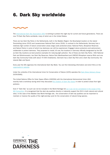### 6. Dark Sky worldwide



The [International Dark Sky Association \(IDA\)](https://www.darksky.org) is working to protect the night sky for current and future generations. There are now 79 Dark Sky Parks worldwide, many of which are in the United States.

There are two Dark Sky Parks in the Netherlands, both in the Wadden Region: the Boschplaat location on the island Terschelling (since 2015) and Lauwersmeer National Park (since 2016). In contrast to the Netherlands, Germany has a relatively high number of nature conservation areas (large scale protected areas: National Parks, Biosphere Reserves and Nature Parks) in some of which true darkness can still be experienced. Engaged nature protectors and astronomers collaborate to protect darkness. They proposed to install, till now, five locations in Germany officially designated by the IDA as Dark Sky locations as best practice examples for reducing light pollution. Two of these are Dark Sky Parks: Eifel National Park and Winklmoosalm, two Dark Sky Reserves, Nature Park Westhavelland and UNESCO Biosphere reserve Rhön and one Dark Sky Community Fulda (with about 70 000 inhabitants). Denmark has a Dark Sky Park and a Dark Sky Community: the islands Møn and Nyord.

Every year the IDA organises the international Dark Sky Week. You can find interesting information and short films on the organisation's websi[te](https://idsw.darksky.org/).

Under the umbrella of the International Union for Conservation of Nature (IUCN) operates the [Dark Skies Advisory Group](http://darkskyparks.org/dark-skies-and-nature-conservation/) (IUCN-DSAG).

The United Nations Office for Outer Space Affairs (UNOOSA) with the International Astronomical Union (IAU) recently held a workshop during which they discussed the creation of Dark Sky Oases in order to protect areas from light pollution.

Even if "Dark Sky" as such can not be included in the World Heritage list as it can not be considered in the scope of the WH Convention, it is recognized that the dark sky qualities directly or inderectly support the OUV in both natural and cultural sites. In the case of the Wadden Sea World Heritage site, the conservation of dark sky qualities can be important to maintain or improve the quality of the night-and-day cycle for the conservation of natural living species.

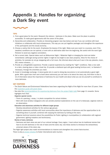### Appendix 1: Handles for organizing a Dark Sky event



#### TIPS

- 1. Find a good place for the event. Research the silence / darkness in the place. Make sure the place is publicly accessible. Or make good agreements with the owner of the place.
- 2. Ownership and collaboration. Provide an interesting program (see tips below) and see if you can combine with local initiatives or collaborate with local entrepreneurs. This way you can put together packages and strengthen the experience of the participants and the (local) economy.
- 3. Choose a catchy title for the event. Emphasize the beauty of the night. Make sure your event is a success, even if the (weather) conditions are not optimal, or work with an alternative date from the beginning Be careful with the word Light Pollution to avoid any negative connotation.
- 4. Set a correct date. Special dates such as Midsummer Night / Midwinter Night or changing the clock are better remembered. (although during summer nights it might be too bright to see stars properly). Allow for the choice of activities, for example do not go stargazing with a full moon. Be informed about what you'll see in the sky (planets, moon, ISS, meteor showers, …)
- 5. Provide an unforgettable experience. Provide a special experience by creating the "right" conditions. Take a nice walk to a dark, clearing place or take a boat trip. Or provide a sheltered spot with good seating furniture and / or blankets if necessary. Arrange the amenities you need.
- 6. Invest in knowledge exchange. A nature guide who is used to doing day excursions is not automatically a good night guide. With a good star chart and a book about astronomy you can learn a lot about the starry sky. And there is also a lot of information about the importance of darkness for your health and about what you can do yourself to contribute to more darkness.

#### GET INSPIRED

- The Dutch Nature and Environment Federations have been organizing the Night of the Night for more than 15 years. View the [inspiration guide with great ideas](https://www.nachtvandenacht.nl/wp-content/uploads/2014/06/Inspiratiegids_2014.pdf).
- See also the [recommendations for experiencing darkness from the project Night Light](https://www.interregeurope.eu/fileadmin/user_upload/tx_tevprojects/library/file_1603357219.pdf) from page 11 onwards. Some highlights from that:

#### Organize special events

- Think of a painting / essay / or photo competition for school children.
- Work with local amateur stargazers who can provide practical explanations on the use of a telescope, organize visits to an observatory.

#### Education and awareness activities for different target groups

- Develop educational activities for the various age groups
- Organize awareness activities with local communities about the importance of darkness and the opportunities to do something about it yourself, combined with enjoying the darkness by looking at the stars.
- Organize technical sessions about the possibilities for Public Lighting in municipalities (in collaboration with regional government, lighting installers and technicians).

#### Stories of stars, darkness

• Darkness and dark skies are part of our cultural heritage. Every region / local culture has its traditional stories that have to do with darkness or the role of stars and the starry sky. Use these stories to introduce the extraordinary universal values of the starry sky.

The Night light project also made recommendations to improve and strengthen the current Astro-tourism. There is also a [private initiative](https://www.visitdarkskies.com) to foster international astro tourism.



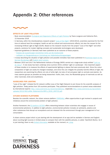### Appendix 2: Other references



#### EFFECTS OF LIGHT POLLUTION

- Book recommendation: [Ecological and Organismic Effects of Light Pollution](https://onlinelibrary.wiley.com/doi/abs/10.1002/9780470015902.a0026328) by Travis Longcore and Catherine Rich, 15 November 2016
- In Germany, within the interdisciplinary research project ["Loss of the Night"](http://www.verlustdernacht.de/about-us.html) (2010-2014), scientists examined for the first time at national level the ecological, health as well as cultural and socio-economic effects, but also the causes for the increasing Artificial Light at Night (ALAN). Based on the research results from the project "Loss of the Night" and other projects, solutions for modern lighting concepts and sustainable technologies were developed.
- Important guidelines (in German) have been published as an outcome of these projects:
	- [Analyse der auswirkungen künstlichen lichts auf die biodiversität](https://bfn.buchweltshop.de/nabiv_heft_168__analyse_der_auswirkungen_k_nstlichen_lichts_auf_die_biodiversit_t.html)
	- [Leitfaden zur Neugestaltung en Umrüstung von Außenbeleuchtungsanlagen](https://www.bfn.de/fileadmin/BfN/service/Dokumente/skripten/Skript543.pdf https://www.kan.de/fileadmin/Redaktion/Dokumente/KAN-Studie/de/2018_KAN-Literaturstudie_Nichtvisuelle_Wirkung_von_Licht.pdf)
- A study describing the situation of light pollution and possible remedies have been published in a [technical report to the](https://www.tab-beim-bundestag.de/de/aktuelles/20200722.html)  [German Bundestag](https://www.tab-beim-bundestag.de/de/aktuelles/20200722.html), with [English short version](https://www.tab-beim-bundestag.de/en/research/u30500.html).
- Between 2010 and 2017 the Netherlands Institute of Ecology (NIOO) carried out a large-scale study entitled '[Licht op](https://nioo.knaw.nl/nl/licht-op-natuur)  [de natuur](https://nioo.knaw.nl/nl/licht-op-natuur)'. A new study has been underway since summer 2019, entitled 'Light on Landscape'. One important aspect of these studies is to measure the effects of experimental lighting on places that were previously dark. Since the colour composition of light can easily be changed nowadays, and since this can mitigate the possibly harmful effects of light, the researchers are examining the effects not only of white light, but also of red and green light on animals (and plants). As many species groups as possible are being researched: moths, bats, mice, the Mustelidae group of mammals as well as other mammals, birds and amphibians.

#### GUIDELINES FOR LIGHTING

"Loss of the night" initiated the EU network LoNNe (Loss of the Night Network) to join forces for the scientific analysis of light pollution. Today parties from 18 countries participate. They published recommendations to protect areas elaborated by international experts: <http://www.cost-lonne.eu/recommendations/>, especially [http://www.cost-lonne.eu/wp-content/](http://www.cost-lonne.eu/wp-content/uploads/2013/08/LoNNe -Statement-for-NPA) [uploads/2013/08/LoNNe -Statement-for-NPA's\\_2016\\_160722.pdf.](http://www.cost-lonne.eu/wp-content/uploads/2013/08/LoNNe -Statement-for-NPA)

#### CITIZEN SCIENCE PLATFORMS

Besides the scientific network, the citizen science platform [STARS4ALL](https://stars4all.eu) offers opportunities to get involved in projects and initiatives around the environmental problem of light pollution.

Another framework, the [EU-platform ACTION](https://actionproject.eu) offers networking between citizen scientists who engage in issues of environmental pollutions. In addition to light pollution, environmental pollution includes air pollutants, plastics and other substances that disrupt our ecosystems and are released into the environment through poor management of our consumption.

A citizen science project which is just starting with the development of an app (will be available in German and English) about counting light sources in limited areas to compare them with the satellite pictures, is called Nachtlicht Buhne. As it is just starting, there is only limite[d information](https://elib.dlr.de/133259/) available at the moment, or [a blog.](http://lossofthenight.blogspot.com/2019/09/first-action-of-nachtlicht-buhne-lamp.html)